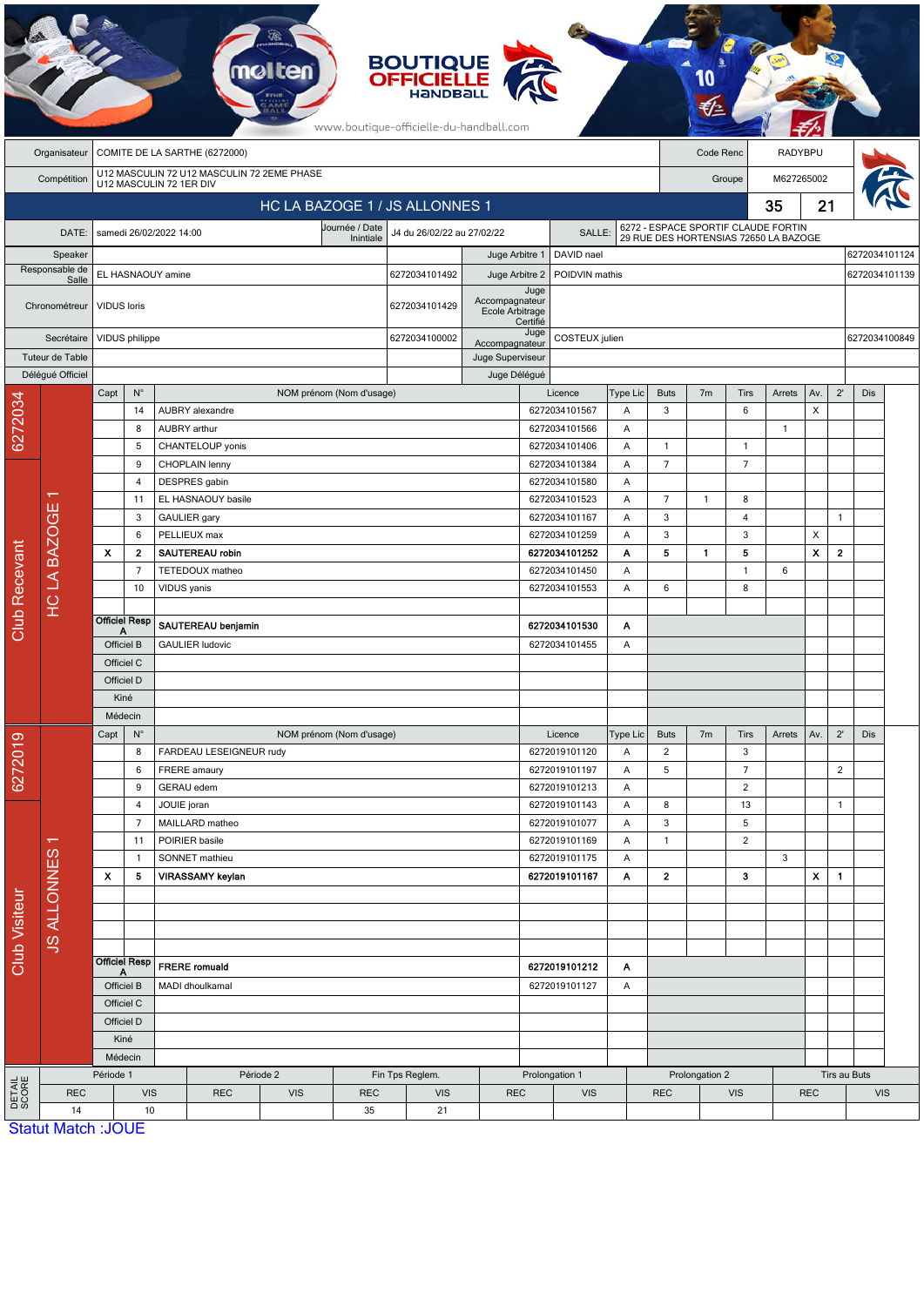|                        | <b>BOUTIQUE<br/>OFFICIELLE</b><br>www.boutique-officielle-du-handball.com |                                                                       |                                  |                                              |                                 |                          |                                 |               |                                   |                                |                                |                                                                              |                          |                |                |                |               |                |     |  |  |
|------------------------|---------------------------------------------------------------------------|-----------------------------------------------------------------------|----------------------------------|----------------------------------------------|---------------------------------|--------------------------|---------------------------------|---------------|-----------------------------------|--------------------------------|--------------------------------|------------------------------------------------------------------------------|--------------------------|----------------|----------------|----------------|---------------|----------------|-----|--|--|
|                        | Organisateur                                                              | COMITE DE LA SARTHE (6272000)                                         |                                  |                                              |                                 |                          |                                 |               |                                   |                                |                                |                                                                              | RADYBPU<br>Code Renc     |                |                |                |               |                |     |  |  |
|                        | Compétition                                                               | U12 MASCULIN 72 U12 MASCULIN 72 2EME PHASE<br>U12 MASCULIN 72 1ER DIV |                                  |                                              |                                 |                          |                                 |               |                                   |                                |                                |                                                                              |                          | Groupe         |                |                | M627265002    |                |     |  |  |
|                        | HC LA BAZOGE 1 / JS ALLONNES 1                                            |                                                                       |                                  |                                              |                                 |                          |                                 |               |                                   |                                |                                |                                                                              |                          | 35<br>21       |                |                |               |                |     |  |  |
|                        | Journée / Date<br>DATE:<br>samedi 26/02/2022 14:00<br>Inintiale           |                                                                       |                                  |                                              |                                 |                          | J4 du 26/02/22 au 27/02/22      |               |                                   | SALLE:                         |                                | 6272 - ESPACE SPORTIF CLAUDE FORTIN<br>29 RUE DES HORTENSIAS 72650 LA BAZOGE |                          |                |                |                |               |                |     |  |  |
|                        | Speaker                                                                   |                                                                       |                                  |                                              |                                 |                          |                                 |               | Juge Arbitre 1                    | DAVID nael                     |                                |                                                                              |                          |                |                |                |               | 6272034101124  |     |  |  |
|                        | Responsable de<br>Salle                                                   | EL HASNAOUY amine                                                     |                                  |                                              |                                 |                          |                                 | 6272034101492 | Juge Arbitre 2                    |                                | POIDVIN mathis                 |                                                                              |                          |                |                |                |               | 6272034101139  |     |  |  |
|                        | Chronométreur                                                             | <b>VIDUS</b> loris                                                    |                                  |                                              |                                 |                          |                                 | 6272034101429 | Accompagnateur<br>Ecole Arbitrage | Juge<br>Certifié               |                                |                                                                              |                          |                |                |                |               |                |     |  |  |
|                        | Secrétaire                                                                |                                                                       | VIDUS philippe                   |                                              |                                 |                          |                                 |               | Accompagnateur                    | Juge<br>COSTEUX julien         |                                |                                                                              |                          |                |                |                | 6272034100849 |                |     |  |  |
|                        | Tuteur de Table                                                           |                                                                       |                                  |                                              |                                 |                          |                                 |               | Juge Superviseur                  |                                |                                |                                                                              |                          |                |                |                |               |                |     |  |  |
|                        | Délégué Officiel                                                          |                                                                       |                                  |                                              |                                 |                          |                                 |               | Juge Délégué                      |                                |                                |                                                                              |                          |                |                |                |               |                |     |  |  |
|                        |                                                                           | Capt                                                                  | $N^{\circ}$                      |                                              |                                 | NOM prénom (Nom d'usage) |                                 |               |                                   |                                | Licence                        | Type Lic                                                                     | <b>Buts</b>              | 7 <sub>m</sub> | Tirs           | Arrets         | Av.           | $2^{\prime}$   | Dis |  |  |
|                        |                                                                           | 14<br>8                                                               |                                  |                                              | AUBRY alexandre<br>AUBRY arthur |                          |                                 |               |                                   | 6272034101567<br>6272034101566 |                                | Α<br>A                                                                       | 3                        |                | 6              | $\overline{1}$ | X             |                |     |  |  |
| 6272034                |                                                                           |                                                                       | 5                                |                                              | CHANTELOUP yonis                |                          |                                 |               |                                   | 6272034101406                  |                                | Α                                                                            | $\mathbf{1}$             |                | $\mathbf{1}$   |                |               |                |     |  |  |
|                        |                                                                           |                                                                       | 9                                | CHOPLAIN lenny                               |                                 |                          |                                 |               | 6272034101384                     |                                | Α                              | $\overline{7}$                                                               |                          | $\overline{7}$ |                |                |               |                |     |  |  |
|                        |                                                                           |                                                                       | 4                                | DESPRES gabin                                |                                 |                          |                                 | 6272034101580 |                                   | Α                              |                                |                                                                              |                          |                |                |                |               |                |     |  |  |
|                        |                                                                           |                                                                       | 11                               |                                              | EL HASNAOUY basile              |                          |                                 |               |                                   |                                | 6272034101523                  | Α                                                                            | $\overline{7}$           | $\mathbf{1}$   | 8              |                |               |                |     |  |  |
|                        |                                                                           | 3                                                                     |                                  | GAULIER gary                                 |                                 |                          |                                 |               |                                   | 6272034101167<br>Α             |                                |                                                                              | 3                        |                | 4              |                |               | $\mathbf{1}$   |     |  |  |
|                        |                                                                           | 6                                                                     |                                  |                                              | PELLIEUX max                    |                          |                                 |               |                                   | 6272034101259<br>Α             |                                |                                                                              | 3                        |                | 3              |                | X             |                |     |  |  |
|                        | <b>HCLA BAZOGE</b>                                                        | $\boldsymbol{\mathsf{x}}$                                             | $\mathbf{2}$                     | SAUTEREAU robin                              |                                 |                          |                                 |               |                                   |                                | 6272034101252                  | Α                                                                            | 5                        | 1              | 5              |                | X             | $\mathbf{2}$   |     |  |  |
|                        |                                                                           |                                                                       | $\overline{7}$                   | TETEDOUX matheo                              |                                 |                          |                                 |               |                                   | 6272034101450                  | Α                              |                                                                              |                          | $\mathbf{1}$   | 6              |                |               |                |     |  |  |
|                        |                                                                           |                                                                       | 10                               | VIDUS yanis                                  |                                 |                          |                                 |               |                                   |                                | 6272034101553                  | A                                                                            | 6                        |                | 8              |                |               |                |     |  |  |
| <b>Club Recevant</b>   |                                                                           | <b>Officiel Resp</b>                                                  |                                  |                                              |                                 |                          | 6272034101530                   |               |                                   |                                |                                |                                                                              |                          |                |                |                |               |                |     |  |  |
|                        |                                                                           | А<br>Officiel B                                                       |                                  | SAUTEREAU benjamin<br><b>GAULIER ludovic</b> |                                 |                          |                                 |               |                                   | 6272034101455                  | Α<br>Α                         |                                                                              |                          |                |                |                |               |                |     |  |  |
|                        |                                                                           | Officiel C                                                            |                                  |                                              |                                 |                          |                                 |               |                                   |                                |                                |                                                                              |                          |                |                |                |               |                |     |  |  |
|                        |                                                                           | Officiel D                                                            |                                  |                                              |                                 |                          |                                 |               |                                   |                                |                                |                                                                              |                          |                |                |                |               |                |     |  |  |
|                        |                                                                           | Kiné                                                                  |                                  |                                              |                                 |                          |                                 |               |                                   |                                |                                |                                                                              |                          |                |                |                |               |                |     |  |  |
|                        |                                                                           | Médecin                                                               |                                  |                                              |                                 |                          |                                 |               |                                   |                                |                                |                                                                              |                          |                |                |                |               |                |     |  |  |
| 6272019                | $\mathbf{v}$                                                              | Capt                                                                  | $\mathsf{N}^\circ$               |                                              |                                 | NOM prénom (Nom d'usage) |                                 |               |                                   |                                | Licence                        | Type Lic                                                                     | <b>Buts</b>              | 7 <sub>m</sub> | Tirs           | Arrets         | Av.           | $2^{\prime}$   | Dis |  |  |
|                        |                                                                           |                                                                       | 8                                |                                              | FARDEAU LESEIGNEUR rudy         |                          |                                 |               |                                   |                                | 6272019101120                  | Α                                                                            | $\overline{2}$           |                | 3              |                |               |                |     |  |  |
|                        |                                                                           |                                                                       | 6                                | FRERE amaury                                 |                                 |                          |                                 |               |                                   |                                | 6272019101197                  | Α                                                                            | 5                        |                | $\overline{7}$ |                |               | $\overline{2}$ |     |  |  |
|                        |                                                                           |                                                                       | 9                                | GERAU edem                                   |                                 |                          |                                 |               |                                   |                                | 6272019101213<br>6272019101143 | Α                                                                            |                          |                | $\overline{2}$ |                |               |                |     |  |  |
|                        |                                                                           |                                                                       | $\overline{4}$<br>$\overline{7}$ | JOUIE joran<br>MAILLARD matheo               |                                 |                          |                                 |               |                                   |                                | 6272019101077                  | A<br>Α                                                                       | 8<br>3                   |                | 13<br>5        |                |               | $\mathbf{1}$   |     |  |  |
|                        |                                                                           |                                                                       | 11                               | POIRIER basile                               |                                 |                          |                                 |               |                                   |                                | 6272019101169                  | Α                                                                            | $\mathbf{1}$             |                | $\overline{2}$ |                |               |                |     |  |  |
|                        |                                                                           |                                                                       | $\mathbf{1}$                     | SONNET mathieu                               |                                 |                          |                                 |               |                                   |                                | 6272019101175                  | Α                                                                            |                          |                |                | 3              |               |                |     |  |  |
|                        |                                                                           | $\boldsymbol{\mathsf{x}}$                                             | 5                                |                                              | VIRASSAMY keylan                |                          |                                 |               |                                   |                                | 6272019101167                  | A                                                                            | $\mathbf{2}$             |                | 3              |                | $\mathbf{x}$  | $\mathbf{1}$   |     |  |  |
|                        |                                                                           |                                                                       |                                  |                                              |                                 |                          |                                 |               |                                   |                                |                                |                                                                              |                          |                |                |                |               |                |     |  |  |
| Club Visiteur          | <b>JS ALLONNES</b>                                                        |                                                                       |                                  |                                              |                                 |                          |                                 |               |                                   |                                |                                |                                                                              |                          |                |                |                |               |                |     |  |  |
|                        |                                                                           |                                                                       |                                  |                                              |                                 |                          |                                 |               |                                   |                                |                                |                                                                              |                          |                |                |                |               |                |     |  |  |
|                        |                                                                           | <b>Officiel Resp</b>                                                  |                                  | <b>FRERE</b> romuald                         |                                 |                          |                                 |               | 6272019101212<br>A                |                                |                                |                                                                              |                          |                |                |                |               |                |     |  |  |
|                        |                                                                           | A<br>Officiel B                                                       |                                  | MADI dhoulkamal                              |                                 |                          |                                 |               | 6272019101127                     |                                | A                              |                                                                              |                          |                |                |                |               |                |     |  |  |
|                        |                                                                           | Officiel C<br>Officiel D<br>Kiné                                      |                                  |                                              |                                 |                          |                                 |               |                                   |                                |                                |                                                                              |                          |                |                |                |               |                |     |  |  |
|                        |                                                                           |                                                                       |                                  |                                              |                                 |                          |                                 |               |                                   |                                |                                |                                                                              |                          |                |                |                |               |                |     |  |  |
|                        |                                                                           |                                                                       |                                  |                                              |                                 |                          |                                 |               |                                   |                                |                                |                                                                              |                          |                |                |                |               |                |     |  |  |
|                        |                                                                           | Médecin                                                               |                                  |                                              |                                 |                          |                                 |               |                                   |                                |                                |                                                                              |                          |                |                |                |               |                |     |  |  |
|                        |                                                                           | Période 1                                                             |                                  | Période 2                                    |                                 |                          | Fin Tps Reglem.                 |               | Prolongation 1                    |                                |                                | Prolongation 2                                                               |                          |                |                |                |               | Tirs au Buts   |     |  |  |
| <b>DETAIL</b><br>SCORE | <b>REC</b>                                                                | <b>VIS</b>                                                            |                                  |                                              | <b>REC</b>                      |                          | VIS<br><b>REC</b><br><b>VIS</b> |               | <b>REC</b>                        | <b>VIS</b>                     |                                |                                                                              | <b>REC</b><br><b>VIS</b> |                |                | <b>REC</b>     |               | <b>VIS</b>     |     |  |  |
|                        | 14<br><b>Statut Match: JOUE</b>                                           |                                                                       | 10                               |                                              |                                 |                          | 35                              | 21            |                                   |                                |                                |                                                                              |                          |                |                |                |               |                |     |  |  |